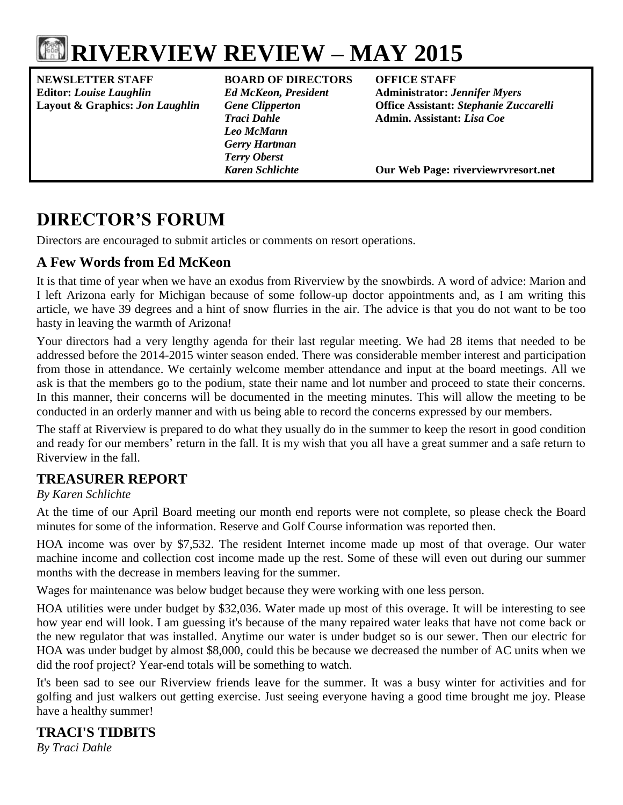

# **RIVERVIEW REVIEW – MAY 2015**

**NEWSLETTER STAFF BOARD OF DIRECTORS OFFICE STAFF Editor:** *Louise Laughlin Ed McKeon, President* **Administrator:** *Jennifer Myers*

*Leo McMann Gerry Hartman Terry Oberst*

**Layout & Graphics:** *Jon Laughlin Gene Clipperton* **Office Assistant:** *Stephanie Zuccarelli Traci Dahle* **Admin. Assistant:** *Lisa Coe*

*Karen Schlichte* **Our Web Page: riverviewrvresort.net**

# **DIRECTOR'S FORUM**

Directors are encouraged to submit articles or comments on resort operations.

# **A Few Words from Ed McKeon**

It is that time of year when we have an exodus from Riverview by the snowbirds. A word of advice: Marion and I left Arizona early for Michigan because of some follow-up doctor appointments and, as I am writing this article, we have 39 degrees and a hint of snow flurries in the air. The advice is that you do not want to be too hasty in leaving the warmth of Arizona!

Your directors had a very lengthy agenda for their last regular meeting. We had 28 items that needed to be addressed before the 2014-2015 winter season ended. There was considerable member interest and participation from those in attendance. We certainly welcome member attendance and input at the board meetings. All we ask is that the members go to the podium, state their name and lot number and proceed to state their concerns. In this manner, their concerns will be documented in the meeting minutes. This will allow the meeting to be conducted in an orderly manner and with us being able to record the concerns expressed by our members.

The staff at Riverview is prepared to do what they usually do in the summer to keep the resort in good condition and ready for our members' return in the fall. It is my wish that you all have a great summer and a safe return to Riverview in the fall.

# **TREASURER REPORT**

### *By Karen Schlichte*

At the time of our April Board meeting our month end reports were not complete, so please check the Board minutes for some of the information. Reserve and Golf Course information was reported then.

HOA income was over by \$7,532. The resident Internet income made up most of that overage. Our water machine income and collection cost income made up the rest. Some of these will even out during our summer months with the decrease in members leaving for the summer.

Wages for maintenance was below budget because they were working with one less person.

HOA utilities were under budget by \$32,036. Water made up most of this overage. It will be interesting to see how year end will look. I am guessing it's because of the many repaired water leaks that have not come back or the new regulator that was installed. Anytime our water is under budget so is our sewer. Then our electric for HOA was under budget by almost \$8,000, could this be because we decreased the number of AC units when we did the roof project? Year-end totals will be something to watch.

It's been sad to see our Riverview friends leave for the summer. It was a busy winter for activities and for golfing and just walkers out getting exercise. Just seeing everyone having a good time brought me joy. Please have a healthy summer!

# **TRACI'S TIDBITS**

*By Traci Dahle*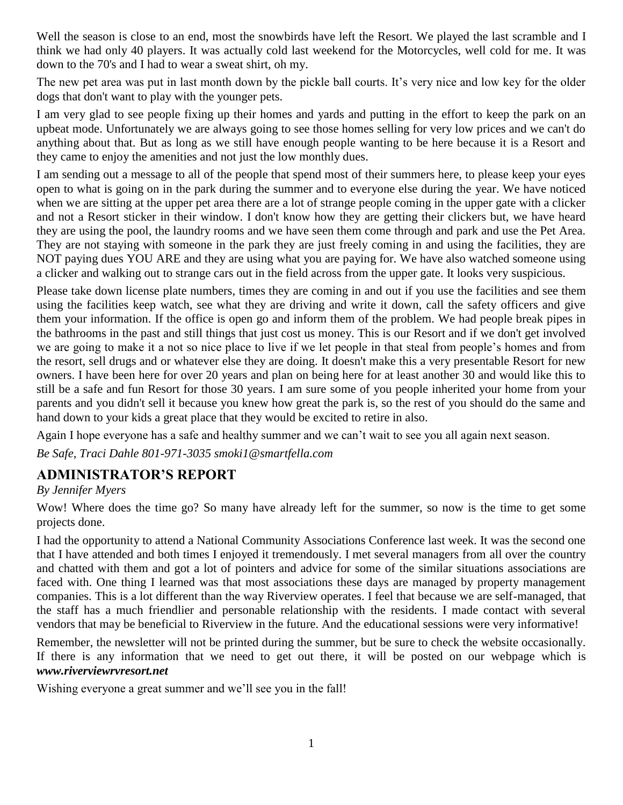Well the season is close to an end, most the snowbirds have left the Resort. We played the last scramble and I think we had only 40 players. It was actually cold last weekend for the Motorcycles, well cold for me. It was down to the 70's and I had to wear a sweat shirt, oh my.

The new pet area was put in last month down by the pickle ball courts. It's very nice and low key for the older dogs that don't want to play with the younger pets.

I am very glad to see people fixing up their homes and yards and putting in the effort to keep the park on an upbeat mode. Unfortunately we are always going to see those homes selling for very low prices and we can't do anything about that. But as long as we still have enough people wanting to be here because it is a Resort and they came to enjoy the amenities and not just the low monthly dues.

I am sending out a message to all of the people that spend most of their summers here, to please keep your eyes open to what is going on in the park during the summer and to everyone else during the year. We have noticed when we are sitting at the upper pet area there are a lot of strange people coming in the upper gate with a clicker and not a Resort sticker in their window. I don't know how they are getting their clickers but, we have heard they are using the pool, the laundry rooms and we have seen them come through and park and use the Pet Area. They are not staying with someone in the park they are just freely coming in and using the facilities, they are NOT paying dues YOU ARE and they are using what you are paying for. We have also watched someone using a clicker and walking out to strange cars out in the field across from the upper gate. It looks very suspicious.

Please take down license plate numbers, times they are coming in and out if you use the facilities and see them using the facilities keep watch, see what they are driving and write it down, call the safety officers and give them your information. If the office is open go and inform them of the problem. We had people break pipes in the bathrooms in the past and still things that just cost us money. This is our Resort and if we don't get involved we are going to make it a not so nice place to live if we let people in that steal from people's homes and from the resort, sell drugs and or whatever else they are doing. It doesn't make this a very presentable Resort for new owners. I have been here for over 20 years and plan on being here for at least another 30 and would like this to still be a safe and fun Resort for those 30 years. I am sure some of you people inherited your home from your parents and you didn't sell it because you knew how great the park is, so the rest of you should do the same and hand down to your kids a great place that they would be excited to retire in also.

Again I hope everyone has a safe and healthy summer and we can't wait to see you all again next season.

*Be Safe, Traci Dahle 801-971-3035 smoki1@smartfella.com*

# **ADMINISTRATOR'S REPORT**

#### *By Jennifer Myers*

Wow! Where does the time go? So many have already left for the summer, so now is the time to get some projects done.

I had the opportunity to attend a National Community Associations Conference last week. It was the second one that I have attended and both times I enjoyed it tremendously. I met several managers from all over the country and chatted with them and got a lot of pointers and advice for some of the similar situations associations are faced with. One thing I learned was that most associations these days are managed by property management companies. This is a lot different than the way Riverview operates. I feel that because we are self-managed, that the staff has a much friendlier and personable relationship with the residents. I made contact with several vendors that may be beneficial to Riverview in the future. And the educational sessions were very informative!

Remember, the newsletter will not be printed during the summer, but be sure to check the website occasionally. If there is any information that we need to get out there, it will be posted on our webpage which is *[www.riverviewrvresort.net](http://www.riverviewrvresort.net/)*

Wishing everyone a great summer and we'll see you in the fall!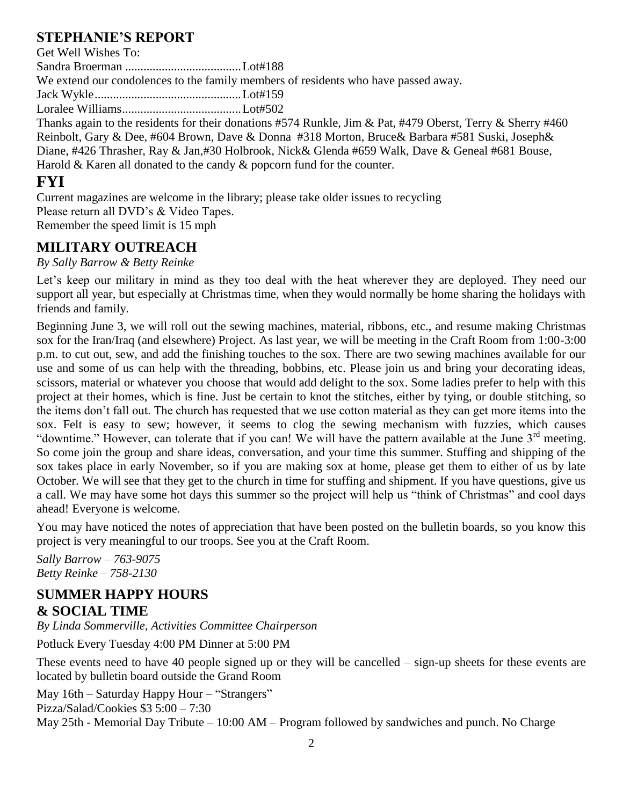# **STEPHANIE'S REPORT**

Get Well Wishes To:

Sandra Broerman ......................................Lot#188

We extend our condolences to the family members of residents who have passed away.

Jack Wykle................................................Lot#159

Loralee Williams.......................................Lot#502

Thanks again to the residents for their donations #574 Runkle, Jim & Pat, #479 Oberst, Terry & Sherry #460 Reinbolt, Gary & Dee, #604 Brown, Dave & Donna #318 Morton, Bruce& Barbara #581 Suski, Joseph& Diane, #426 Thrasher, Ray & Jan,#30 Holbrook, Nick& Glenda #659 Walk, Dave & Geneal #681 Bouse, Harold & Karen all donated to the candy & popcorn fund for the counter.

# **FYI**

Current magazines are welcome in the library; please take older issues to recycling Please return all DVD's & Video Tapes. Remember the speed limit is 15 mph

# **MILITARY OUTREACH**

### *By Sally Barrow & Betty Reinke*

Let's keep our military in mind as they too deal with the heat wherever they are deployed. They need our support all year, but especially at Christmas time, when they would normally be home sharing the holidays with friends and family.

Beginning June 3, we will roll out the sewing machines, material, ribbons, etc., and resume making Christmas sox for the Iran/Iraq (and elsewhere) Project. As last year, we will be meeting in the Craft Room from 1:00-3:00 p.m. to cut out, sew, and add the finishing touches to the sox. There are two sewing machines available for our use and some of us can help with the threading, bobbins, etc. Please join us and bring your decorating ideas, scissors, material or whatever you choose that would add delight to the sox. Some ladies prefer to help with this project at their homes, which is fine. Just be certain to knot the stitches, either by tying, or double stitching, so the items don't fall out. The church has requested that we use cotton material as they can get more items into the sox. Felt is easy to sew; however, it seems to clog the sewing mechanism with fuzzies, which causes "downtime." However, can tolerate that if you can! We will have the pattern available at the June  $3<sup>rd</sup>$  meeting. So come join the group and share ideas, conversation, and your time this summer. Stuffing and shipping of the sox takes place in early November, so if you are making sox at home, please get them to either of us by late October. We will see that they get to the church in time for stuffing and shipment. If you have questions, give us a call. We may have some hot days this summer so the project will help us "think of Christmas" and cool days ahead! Everyone is welcome.

You may have noticed the notes of appreciation that have been posted on the bulletin boards, so you know this project is very meaningful to our troops. See you at the Craft Room.

*Sally Barrow – 763-9075 Betty Reinke – 758-2130*

## **SUMMER HAPPY HOURS & SOCIAL TIME**

*By Linda Sommerville, Activities Committee Chairperson*

Potluck Every Tuesday 4:00 PM Dinner at 5:00 PM

These events need to have 40 people signed up or they will be cancelled – sign-up sheets for these events are located by bulletin board outside the Grand Room

May 16th – Saturday Happy Hour – "Strangers" Pizza/Salad/Cookies \$3 5:00 – 7:30 May 25th - Memorial Day Tribute – 10:00 AM – Program followed by sandwiches and punch. No Charge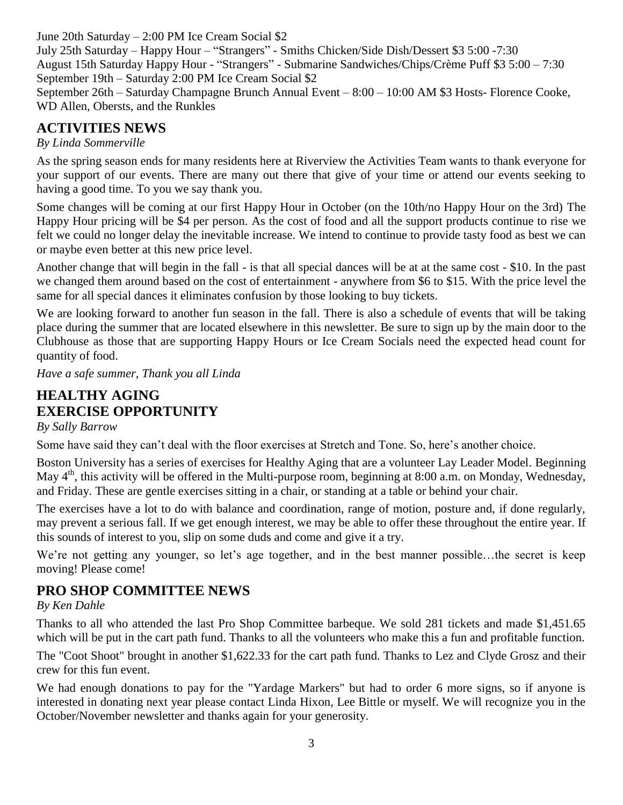June 20th Saturday – 2:00 PM Ice Cream Social \$2 July 25th Saturday – Happy Hour – "Strangers" - Smiths Chicken/Side Dish/Dessert \$3 5:00 -7:30 August 15th Saturday Happy Hour - "Strangers" - Submarine Sandwiches/Chips/Crème Puff \$3 5:00 – 7:30 September 19th – Saturday 2:00 PM Ice Cream Social \$2 September 26th – Saturday Champagne Brunch Annual Event – 8:00 – 10:00 AM \$3 Hosts- Florence Cooke, WD Allen, Obersts, and the Runkles

# **ACTIVITIES NEWS**

*By Linda Sommerville*

As the spring season ends for many residents here at Riverview the Activities Team wants to thank everyone for your support of our events. There are many out there that give of your time or attend our events seeking to having a good time. To you we say thank you.

Some changes will be coming at our first Happy Hour in October (on the 10th/no Happy Hour on the 3rd) The Happy Hour pricing will be \$4 per person. As the cost of food and all the support products continue to rise we felt we could no longer delay the inevitable increase. We intend to continue to provide tasty food as best we can or maybe even better at this new price level.

Another change that will begin in the fall - is that all special dances will be at at the same cost - \$10. In the past we changed them around based on the cost of entertainment - anywhere from \$6 to \$15. With the price level the same for all special dances it eliminates confusion by those looking to buy tickets.

We are looking forward to another fun season in the fall. There is also a schedule of events that will be taking place during the summer that are located elsewhere in this newsletter. Be sure to sign up by the main door to the Clubhouse as those that are supporting Happy Hours or Ice Cream Socials need the expected head count for quantity of food.

*Have a safe summer, Thank you all Linda*

# **HEALTHY AGING EXERCISE OPPORTUNITY**

*By Sally Barrow*

Some have said they can't deal with the floor exercises at Stretch and Tone. So, here's another choice.

Boston University has a series of exercises for Healthy Aging that are a volunteer Lay Leader Model. Beginning May 4<sup>th</sup>, this activity will be offered in the Multi-purpose room, beginning at 8:00 a.m. on Monday, Wednesday, and Friday. These are gentle exercises sitting in a chair, or standing at a table or behind your chair.

The exercises have a lot to do with balance and coordination, range of motion, posture and, if done regularly, may prevent a serious fall. If we get enough interest, we may be able to offer these throughout the entire year. If this sounds of interest to you, slip on some duds and come and give it a try.

We're not getting any younger, so let's age together, and in the best manner possible...the secret is keep moving! Please come!

# **PRO SHOP COMMITTEE NEWS**

# *By Ken Dahle*

Thanks to all who attended the last Pro Shop Committee barbeque. We sold 281 tickets and made \$1,451.65 which will be put in the cart path fund. Thanks to all the volunteers who make this a fun and profitable function.

The "Coot Shoot" brought in another \$1,622.33 for the cart path fund. Thanks to Lez and Clyde Grosz and their crew for this fun event.

We had enough donations to pay for the "Yardage Markers" but had to order 6 more signs, so if anyone is interested in donating next year please contact Linda Hixon, Lee Bittle or myself. We will recognize you in the October/November newsletter and thanks again for your generosity.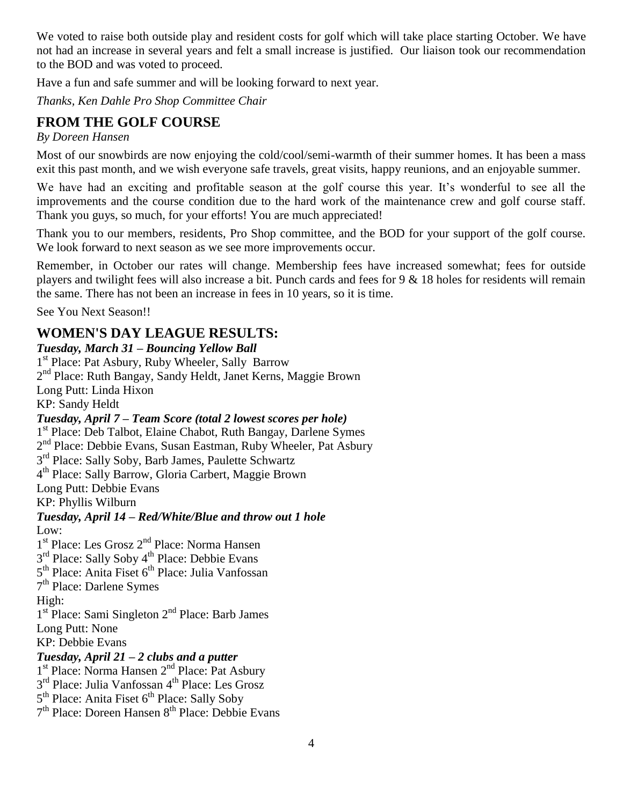We voted to raise both outside play and resident costs for golf which will take place starting October. We have not had an increase in several years and felt a small increase is justified. Our liaison took our recommendation to the BOD and was voted to proceed.

Have a fun and safe summer and will be looking forward to next year.

*Thanks, Ken Dahle Pro Shop Committee Chair*

# **FROM THE GOLF COURSE**

*By Doreen Hansen*

Most of our snowbirds are now enjoying the cold/cool/semi-warmth of their summer homes. It has been a mass exit this past month, and we wish everyone safe travels, great visits, happy reunions, and an enjoyable summer.

We have had an exciting and profitable season at the golf course this year. It's wonderful to see all the improvements and the course condition due to the hard work of the maintenance crew and golf course staff. Thank you guys, so much, for your efforts! You are much appreciated!

Thank you to our members, residents, Pro Shop committee, and the BOD for your support of the golf course. We look forward to next season as we see more improvements occur.

Remember, in October our rates will change. Membership fees have increased somewhat; fees for outside players and twilight fees will also increase a bit. Punch cards and fees for 9 & 18 holes for residents will remain the same. There has not been an increase in fees in 10 years, so it is time.

See You Next Season!!

# **WOMEN'S DAY LEAGUE RESULTS:**

*Tuesday, March 31 – Bouncing Yellow Ball* 1<sup>st</sup> Place: Pat Asbury, Ruby Wheeler, Sally Barrow 2<sup>nd</sup> Place: Ruth Bangay, Sandy Heldt, Janet Kerns, Maggie Brown Long Putt: Linda Hixon KP: Sandy Heldt *Tuesday, April 7 – Team Score (total 2 lowest scores per hole)* 1<sup>st</sup> Place: Deb Talbot, Elaine Chabot, Ruth Bangay, Darlene Symes 2<sup>nd</sup> Place: Debbie Evans, Susan Eastman, Ruby Wheeler, Pat Asbury 3<sup>rd</sup> Place: Sally Soby, Barb James, Paulette Schwartz 4 th Place: Sally Barrow, Gloria Carbert, Maggie Brown Long Putt: Debbie Evans KP: Phyllis Wilburn *Tuesday, April 14 – Red/White/Blue and throw out 1 hole* Low: 1<sup>st</sup> Place: Les Grosz 2<sup>nd</sup> Place: Norma Hansen 3<sup>rd</sup> Place: Sally Soby 4<sup>th</sup> Place: Debbie Evans 5<sup>th</sup> Place: Anita Fiset 6<sup>th</sup> Place: Julia Vanfossan 7<sup>th</sup> Place: Darlene Symes High: 1<sup>st</sup> Place: Sami Singleton 2<sup>nd</sup> Place: Barb James Long Putt: None KP: Debbie Evans *Tuesday, April 21 – 2 clubs and a putter* 1<sup>st</sup> Place: Norma Hansen 2<sup>nd</sup> Place: Pat Asbury 3<sup>rd</sup> Place: Julia Vanfossan 4<sup>th</sup> Place: Les Grosz 5<sup>th</sup> Place: Anita Fiset 6<sup>th</sup> Place: Sally Soby 7<sup>th</sup> Place: Doreen Hansen 8<sup>th</sup> Place: Debbie Evans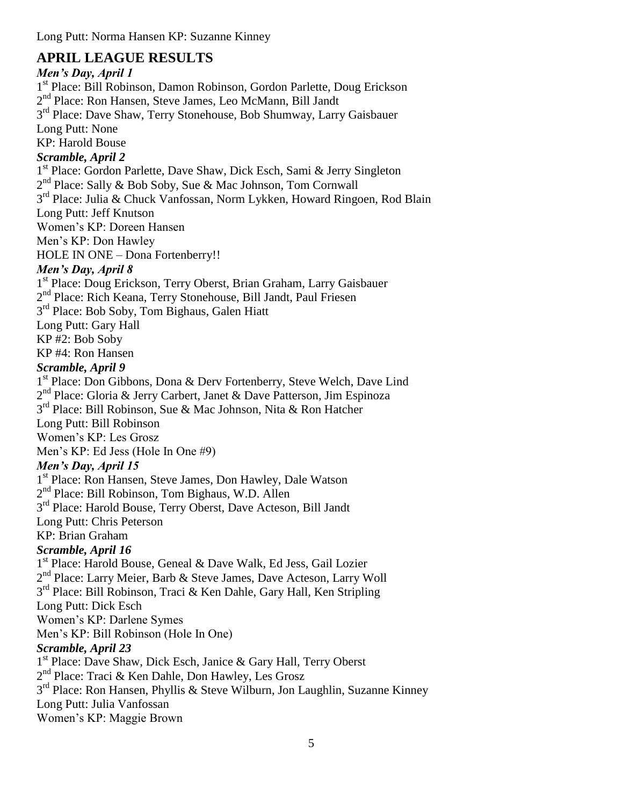Long Putt: Norma Hansen KP: Suzanne Kinney

# **APRIL LEAGUE RESULTS**

# *Men's Day, April 1*

1<sup>st</sup> Place: Bill Robinson, Damon Robinson, Gordon Parlette, Doug Erickson 2<sup>nd</sup> Place: Ron Hansen, Steve James, Leo McMann, Bill Jandt 3<sup>rd</sup> Place: Dave Shaw, Terry Stonehouse, Bob Shumway, Larry Gaisbauer Long Putt: None KP: Harold Bouse *Scramble, April 2* 1<sup>st</sup> Place: Gordon Parlette, Dave Shaw, Dick Esch, Sami & Jerry Singleton 2<sup>nd</sup> Place: Sally & Bob Soby, Sue & Mac Johnson, Tom Cornwall 3<sup>rd</sup> Place: Julia & Chuck Vanfossan, Norm Lykken, Howard Ringoen, Rod Blain Long Putt: Jeff Knutson Women's KP: Doreen Hansen Men's KP: Don Hawley HOLE IN ONE – Dona Fortenberry!! *Men's Day, April 8* 1 st Place: Doug Erickson, Terry Oberst, Brian Graham, Larry Gaisbauer 2<sup>nd</sup> Place: Rich Keana, Terry Stonehouse, Bill Jandt, Paul Friesen 3<sup>rd</sup> Place: Bob Soby, Tom Bighaus, Galen Hiatt Long Putt: Gary Hall KP #2: Bob Soby KP #4: Ron Hansen *Scramble, April 9* 1<sup>st</sup> Place: Don Gibbons, Dona & Derv Fortenberry, Steve Welch, Dave Lind 2<sup>nd</sup> Place: Gloria & Jerry Carbert, Janet & Dave Patterson, Jim Espinoza 3<sup>rd</sup> Place: Bill Robinson, Sue & Mac Johnson, Nita & Ron Hatcher Long Putt: Bill Robinson Women's KP: Les Grosz Men's KP: Ed Jess (Hole In One #9) *Men's Day, April 15* 1 st Place: Ron Hansen, Steve James, Don Hawley, Dale Watson 2<sup>nd</sup> Place: Bill Robinson, Tom Bighaus, W.D. Allen 3<sup>rd</sup> Place: Harold Bouse, Terry Oberst, Dave Acteson, Bill Jandt Long Putt: Chris Peterson KP: Brian Graham *Scramble, April 16* 1 st Place: Harold Bouse, Geneal & Dave Walk, Ed Jess, Gail Lozier 2<sup>nd</sup> Place: Larry Meier, Barb & Steve James, Dave Acteson, Larry Woll 3<sup>rd</sup> Place: Bill Robinson, Traci & Ken Dahle, Gary Hall, Ken Stripling Long Putt: Dick Esch Women's KP: Darlene Symes Men's KP: Bill Robinson (Hole In One) *Scramble, April 23* 1<sup>st</sup> Place: Dave Shaw, Dick Esch, Janice & Gary Hall, Terry Oberst 2<sup>nd</sup> Place: Traci & Ken Dahle, Don Hawley, Les Grosz 3<sup>rd</sup> Place: Ron Hansen, Phyllis & Steve Wilburn, Jon Laughlin, Suzanne Kinney Long Putt: Julia Vanfossan Women's KP: Maggie Brown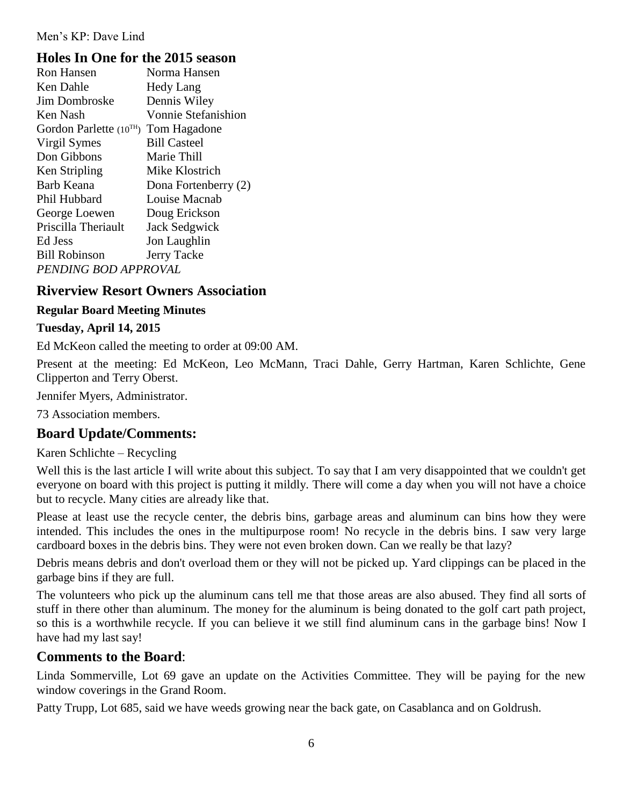#### Men's KP: Dave Lind

### **Holes In One for the 2015 season**

| <b>Ron Hansen</b>           | Norma Hansen               |  |  |
|-----------------------------|----------------------------|--|--|
| Ken Dahle                   | <b>Hedy Lang</b>           |  |  |
| <b>Jim Dombroske</b>        | Dennis Wiley               |  |  |
| Ken Nash                    | <b>Vonnie Stefanishion</b> |  |  |
| Gordon Parlette $(10^{TH})$ | Tom Hagadone               |  |  |
| Virgil Symes                | <b>Bill Casteel</b>        |  |  |
| Don Gibbons                 | Marie Thill                |  |  |
| Ken Stripling               | Mike Klostrich             |  |  |
| Barb Keana                  | Dona Fortenberry (2)       |  |  |
| Phil Hubbard                | Louise Macnab              |  |  |
| George Loewen               | Doug Erickson              |  |  |
| Priscilla Theriault         | <b>Jack Sedgwick</b>       |  |  |
| Ed Jess                     | Jon Laughlin               |  |  |
| <b>Bill Robinson</b>        | Jerry Tacke                |  |  |
| PENDING BOD APPROVAL        |                            |  |  |
|                             |                            |  |  |

### **Riverview Resort Owners Association**

#### **Regular Board Meeting Minutes**

#### **Tuesday, April 14, 2015**

Ed McKeon called the meeting to order at 09:00 AM.

Present at the meeting: Ed McKeon, Leo McMann, Traci Dahle, Gerry Hartman, Karen Schlichte, Gene Clipperton and Terry Oberst.

Jennifer Myers, Administrator.

73 Association members.

#### **Board Update/Comments:**

Karen Schlichte – Recycling

Well this is the last article I will write about this subject. To say that I am very disappointed that we couldn't get everyone on board with this project is putting it mildly. There will come a day when you will not have a choice but to recycle. Many cities are already like that.

Please at least use the recycle center, the debris bins, garbage areas and aluminum can bins how they were intended. This includes the ones in the multipurpose room! No recycle in the debris bins. I saw very large cardboard boxes in the debris bins. They were not even broken down. Can we really be that lazy?

Debris means debris and don't overload them or they will not be picked up. Yard clippings can be placed in the garbage bins if they are full.

The volunteers who pick up the aluminum cans tell me that those areas are also abused. They find all sorts of stuff in there other than aluminum. The money for the aluminum is being donated to the golf cart path project, so this is a worthwhile recycle. If you can believe it we still find aluminum cans in the garbage bins! Now I have had my last say!

### **Comments to the Board**:

Linda Sommerville, Lot 69 gave an update on the Activities Committee. They will be paying for the new window coverings in the Grand Room.

Patty Trupp, Lot 685, said we have weeds growing near the back gate, on Casablanca and on Goldrush.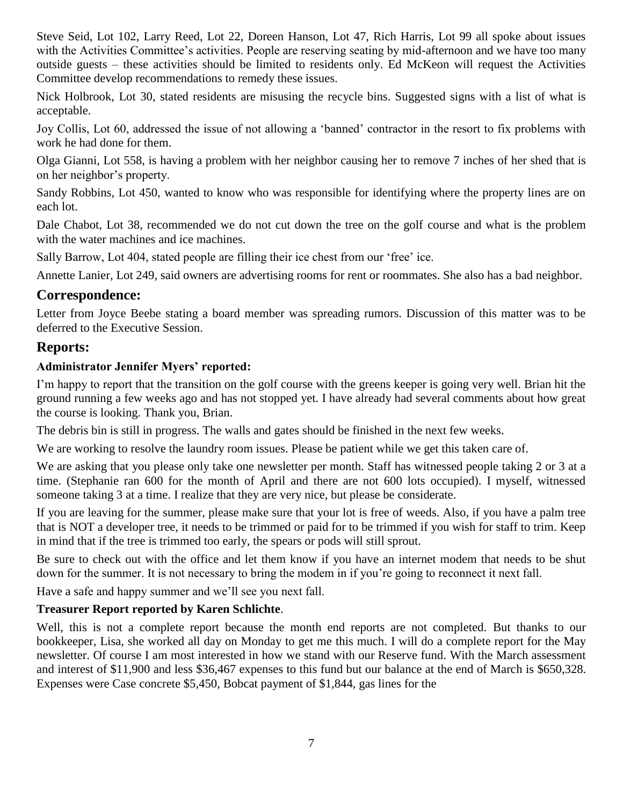Steve Seid, Lot 102, Larry Reed, Lot 22, Doreen Hanson, Lot 47, Rich Harris, Lot 99 all spoke about issues with the Activities Committee's activities. People are reserving seating by mid-afternoon and we have too many outside guests – these activities should be limited to residents only. Ed McKeon will request the Activities Committee develop recommendations to remedy these issues.

Nick Holbrook, Lot 30, stated residents are misusing the recycle bins. Suggested signs with a list of what is acceptable.

Joy Collis, Lot 60, addressed the issue of not allowing a 'banned' contractor in the resort to fix problems with work he had done for them.

Olga Gianni, Lot 558, is having a problem with her neighbor causing her to remove 7 inches of her shed that is on her neighbor's property.

Sandy Robbins, Lot 450, wanted to know who was responsible for identifying where the property lines are on each lot.

Dale Chabot, Lot 38, recommended we do not cut down the tree on the golf course and what is the problem with the water machines and ice machines.

Sally Barrow, Lot 404, stated people are filling their ice chest from our 'free' ice.

Annette Lanier, Lot 249, said owners are advertising rooms for rent or roommates. She also has a bad neighbor.

# **Correspondence:**

Letter from Joyce Beebe stating a board member was spreading rumors. Discussion of this matter was to be deferred to the Executive Session.

# **Reports:**

#### **Administrator Jennifer Myers' reported:**

I'm happy to report that the transition on the golf course with the greens keeper is going very well. Brian hit the ground running a few weeks ago and has not stopped yet. I have already had several comments about how great the course is looking. Thank you, Brian.

The debris bin is still in progress. The walls and gates should be finished in the next few weeks.

We are working to resolve the laundry room issues. Please be patient while we get this taken care of.

We are asking that you please only take one newsletter per month. Staff has witnessed people taking 2 or 3 at a time. (Stephanie ran 600 for the month of April and there are not 600 lots occupied). I myself, witnessed someone taking 3 at a time. I realize that they are very nice, but please be considerate.

If you are leaving for the summer, please make sure that your lot is free of weeds. Also, if you have a palm tree that is NOT a developer tree, it needs to be trimmed or paid for to be trimmed if you wish for staff to trim. Keep in mind that if the tree is trimmed too early, the spears or pods will still sprout.

Be sure to check out with the office and let them know if you have an internet modem that needs to be shut down for the summer. It is not necessary to bring the modem in if you're going to reconnect it next fall.

Have a safe and happy summer and we'll see you next fall.

#### **Treasurer Report reported by Karen Schlichte**.

Well, this is not a complete report because the month end reports are not completed. But thanks to our bookkeeper, Lisa, she worked all day on Monday to get me this much. I will do a complete report for the May newsletter. Of course I am most interested in how we stand with our Reserve fund. With the March assessment and interest of \$11,900 and less \$36,467 expenses to this fund but our balance at the end of March is \$650,328. Expenses were Case concrete \$5,450, Bobcat payment of \$1,844, gas lines for the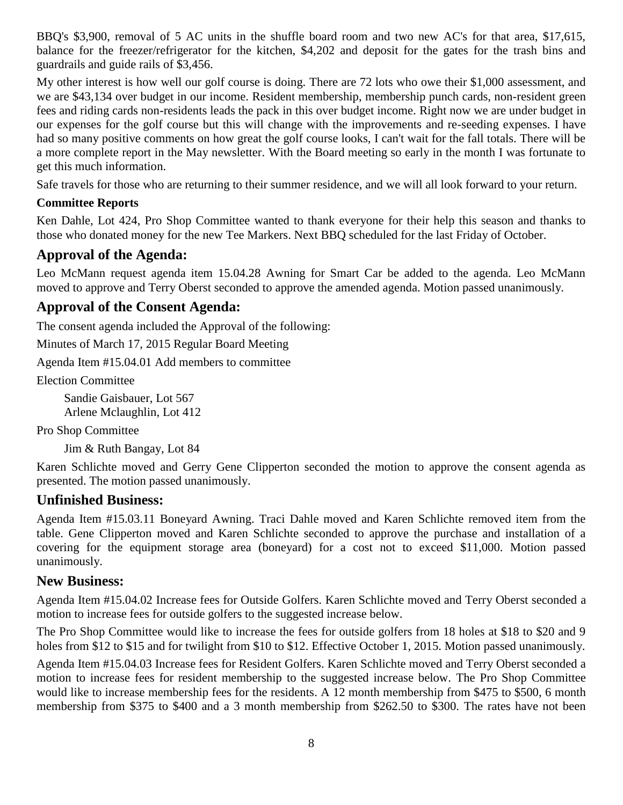BBQ's \$3,900, removal of 5 AC units in the shuffle board room and two new AC's for that area, \$17,615, balance for the freezer/refrigerator for the kitchen, \$4,202 and deposit for the gates for the trash bins and guardrails and guide rails of \$3,456.

My other interest is how well our golf course is doing. There are 72 lots who owe their \$1,000 assessment, and we are \$43,134 over budget in our income. Resident membership, membership punch cards, non-resident green fees and riding cards non-residents leads the pack in this over budget income. Right now we are under budget in our expenses for the golf course but this will change with the improvements and re-seeding expenses. I have had so many positive comments on how great the golf course looks, I can't wait for the fall totals. There will be a more complete report in the May newsletter. With the Board meeting so early in the month I was fortunate to get this much information.

Safe travels for those who are returning to their summer residence, and we will all look forward to your return.

#### **Committee Reports**

Ken Dahle, Lot 424, Pro Shop Committee wanted to thank everyone for their help this season and thanks to those who donated money for the new Tee Markers. Next BBQ scheduled for the last Friday of October.

# **Approval of the Agenda:**

Leo McMann request agenda item 15.04.28 Awning for Smart Car be added to the agenda. Leo McMann moved to approve and Terry Oberst seconded to approve the amended agenda. Motion passed unanimously.

# **Approval of the Consent Agenda:**

The consent agenda included the Approval of the following:

Minutes of March 17, 2015 Regular Board Meeting

Agenda Item #15.04.01 Add members to committee

Election Committee

Sandie Gaisbauer, Lot 567 Arlene Mclaughlin, Lot 412

Pro Shop Committee

Jim & Ruth Bangay, Lot 84

Karen Schlichte moved and Gerry Gene Clipperton seconded the motion to approve the consent agenda as presented. The motion passed unanimously.

### **Unfinished Business:**

Agenda Item #15.03.11 Boneyard Awning. Traci Dahle moved and Karen Schlichte removed item from the table. Gene Clipperton moved and Karen Schlichte seconded to approve the purchase and installation of a covering for the equipment storage area (boneyard) for a cost not to exceed \$11,000. Motion passed unanimously.

### **New Business:**

Agenda Item #15.04.02 Increase fees for Outside Golfers. Karen Schlichte moved and Terry Oberst seconded a motion to increase fees for outside golfers to the suggested increase below.

The Pro Shop Committee would like to increase the fees for outside golfers from 18 holes at \$18 to \$20 and 9 holes from \$12 to \$15 and for twilight from \$10 to \$12. Effective October 1, 2015. Motion passed unanimously.

Agenda Item #15.04.03 Increase fees for Resident Golfers. Karen Schlichte moved and Terry Oberst seconded a motion to increase fees for resident membership to the suggested increase below. The Pro Shop Committee would like to increase membership fees for the residents. A 12 month membership from \$475 to \$500, 6 month membership from \$375 to \$400 and a 3 month membership from \$262.50 to \$300. The rates have not been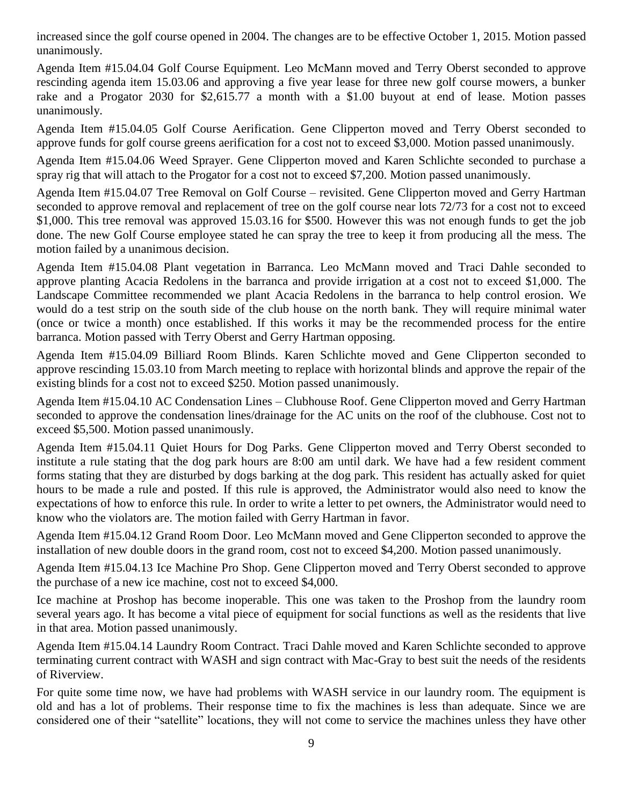increased since the golf course opened in 2004. The changes are to be effective October 1, 2015. Motion passed unanimously.

Agenda Item #15.04.04 Golf Course Equipment. Leo McMann moved and Terry Oberst seconded to approve rescinding agenda item 15.03.06 and approving a five year lease for three new golf course mowers, a bunker rake and a Progator 2030 for \$2,615.77 a month with a \$1.00 buyout at end of lease. Motion passes unanimously.

Agenda Item #15.04.05 Golf Course Aerification. Gene Clipperton moved and Terry Oberst seconded to approve funds for golf course greens aerification for a cost not to exceed \$3,000. Motion passed unanimously.

Agenda Item #15.04.06 Weed Sprayer. Gene Clipperton moved and Karen Schlichte seconded to purchase a spray rig that will attach to the Progator for a cost not to exceed \$7,200. Motion passed unanimously.

Agenda Item #15.04.07 Tree Removal on Golf Course – revisited. Gene Clipperton moved and Gerry Hartman seconded to approve removal and replacement of tree on the golf course near lots 72/73 for a cost not to exceed \$1,000. This tree removal was approved 15.03.16 for \$500. However this was not enough funds to get the job done. The new Golf Course employee stated he can spray the tree to keep it from producing all the mess. The motion failed by a unanimous decision.

Agenda Item #15.04.08 Plant vegetation in Barranca. Leo McMann moved and Traci Dahle seconded to approve planting Acacia Redolens in the barranca and provide irrigation at a cost not to exceed \$1,000. The Landscape Committee recommended we plant Acacia Redolens in the barranca to help control erosion. We would do a test strip on the south side of the club house on the north bank. They will require minimal water (once or twice a month) once established. If this works it may be the recommended process for the entire barranca. Motion passed with Terry Oberst and Gerry Hartman opposing.

Agenda Item #15.04.09 Billiard Room Blinds. Karen Schlichte moved and Gene Clipperton seconded to approve rescinding 15.03.10 from March meeting to replace with horizontal blinds and approve the repair of the existing blinds for a cost not to exceed \$250. Motion passed unanimously.

Agenda Item #15.04.10 AC Condensation Lines – Clubhouse Roof. Gene Clipperton moved and Gerry Hartman seconded to approve the condensation lines/drainage for the AC units on the roof of the clubhouse. Cost not to exceed \$5,500. Motion passed unanimously.

Agenda Item #15.04.11 Quiet Hours for Dog Parks. Gene Clipperton moved and Terry Oberst seconded to institute a rule stating that the dog park hours are 8:00 am until dark. We have had a few resident comment forms stating that they are disturbed by dogs barking at the dog park. This resident has actually asked for quiet hours to be made a rule and posted. If this rule is approved, the Administrator would also need to know the expectations of how to enforce this rule. In order to write a letter to pet owners, the Administrator would need to know who the violators are. The motion failed with Gerry Hartman in favor.

Agenda Item #15.04.12 Grand Room Door. Leo McMann moved and Gene Clipperton seconded to approve the installation of new double doors in the grand room, cost not to exceed \$4,200. Motion passed unanimously.

Agenda Item #15.04.13 Ice Machine Pro Shop. Gene Clipperton moved and Terry Oberst seconded to approve the purchase of a new ice machine, cost not to exceed \$4,000.

Ice machine at Proshop has become inoperable. This one was taken to the Proshop from the laundry room several years ago. It has become a vital piece of equipment for social functions as well as the residents that live in that area. Motion passed unanimously.

Agenda Item #15.04.14 Laundry Room Contract. Traci Dahle moved and Karen Schlichte seconded to approve terminating current contract with WASH and sign contract with Mac-Gray to best suit the needs of the residents of Riverview.

For quite some time now, we have had problems with WASH service in our laundry room. The equipment is old and has a lot of problems. Their response time to fix the machines is less than adequate. Since we are considered one of their "satellite" locations, they will not come to service the machines unless they have other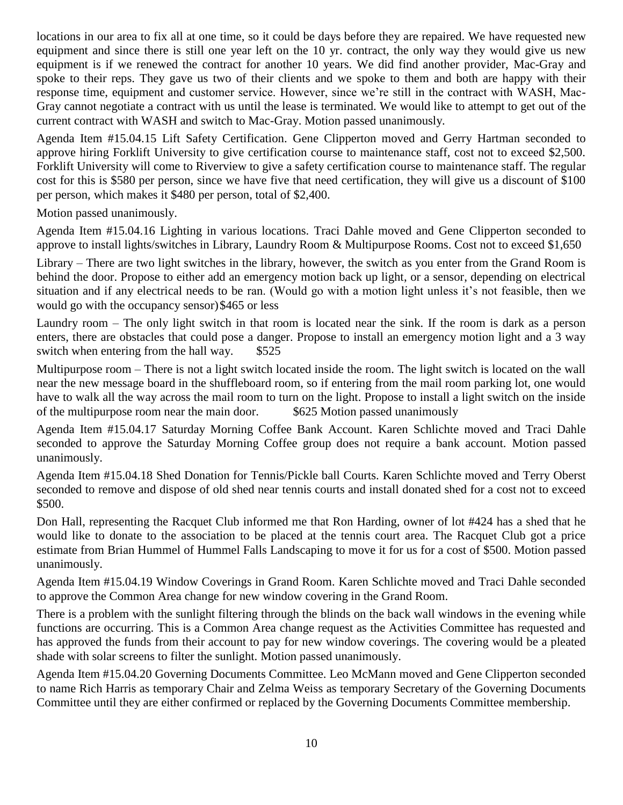locations in our area to fix all at one time, so it could be days before they are repaired. We have requested new equipment and since there is still one year left on the 10 yr. contract, the only way they would give us new equipment is if we renewed the contract for another 10 years. We did find another provider, Mac-Gray and spoke to their reps. They gave us two of their clients and we spoke to them and both are happy with their response time, equipment and customer service. However, since we're still in the contract with WASH, Mac-Gray cannot negotiate a contract with us until the lease is terminated. We would like to attempt to get out of the current contract with WASH and switch to Mac-Gray. Motion passed unanimously.

Agenda Item #15.04.15 Lift Safety Certification. Gene Clipperton moved and Gerry Hartman seconded to approve hiring Forklift University to give certification course to maintenance staff, cost not to exceed \$2,500. Forklift University will come to Riverview to give a safety certification course to maintenance staff. The regular cost for this is \$580 per person, since we have five that need certification, they will give us a discount of \$100 per person, which makes it \$480 per person, total of \$2,400.

Motion passed unanimously.

Agenda Item #15.04.16 Lighting in various locations. Traci Dahle moved and Gene Clipperton seconded to approve to install lights/switches in Library, Laundry Room & Multipurpose Rooms. Cost not to exceed \$1,650

Library – There are two light switches in the library, however, the switch as you enter from the Grand Room is behind the door. Propose to either add an emergency motion back up light, or a sensor, depending on electrical situation and if any electrical needs to be ran. (Would go with a motion light unless it's not feasible, then we would go with the occupancy sensor)\$465 or less

Laundry room – The only light switch in that room is located near the sink. If the room is dark as a person enters, there are obstacles that could pose a danger. Propose to install an emergency motion light and a 3 way switch when entering from the hall way. \$525

Multipurpose room – There is not a light switch located inside the room. The light switch is located on the wall near the new message board in the shuffleboard room, so if entering from the mail room parking lot, one would have to walk all the way across the mail room to turn on the light. Propose to install a light switch on the inside of the multipurpose room near the main door. \$625 Motion passed unanimously

Agenda Item #15.04.17 Saturday Morning Coffee Bank Account. Karen Schlichte moved and Traci Dahle seconded to approve the Saturday Morning Coffee group does not require a bank account. Motion passed unanimously.

Agenda Item #15.04.18 Shed Donation for Tennis/Pickle ball Courts. Karen Schlichte moved and Terry Oberst seconded to remove and dispose of old shed near tennis courts and install donated shed for a cost not to exceed \$500.

Don Hall, representing the Racquet Club informed me that Ron Harding, owner of lot #424 has a shed that he would like to donate to the association to be placed at the tennis court area. The Racquet Club got a price estimate from Brian Hummel of Hummel Falls Landscaping to move it for us for a cost of \$500. Motion passed unanimously.

Agenda Item #15.04.19 Window Coverings in Grand Room. Karen Schlichte moved and Traci Dahle seconded to approve the Common Area change for new window covering in the Grand Room.

There is a problem with the sunlight filtering through the blinds on the back wall windows in the evening while functions are occurring. This is a Common Area change request as the Activities Committee has requested and has approved the funds from their account to pay for new window coverings. The covering would be a pleated shade with solar screens to filter the sunlight. Motion passed unanimously.

Agenda Item #15.04.20 Governing Documents Committee. Leo McMann moved and Gene Clipperton seconded to name Rich Harris as temporary Chair and Zelma Weiss as temporary Secretary of the Governing Documents Committee until they are either confirmed or replaced by the Governing Documents Committee membership.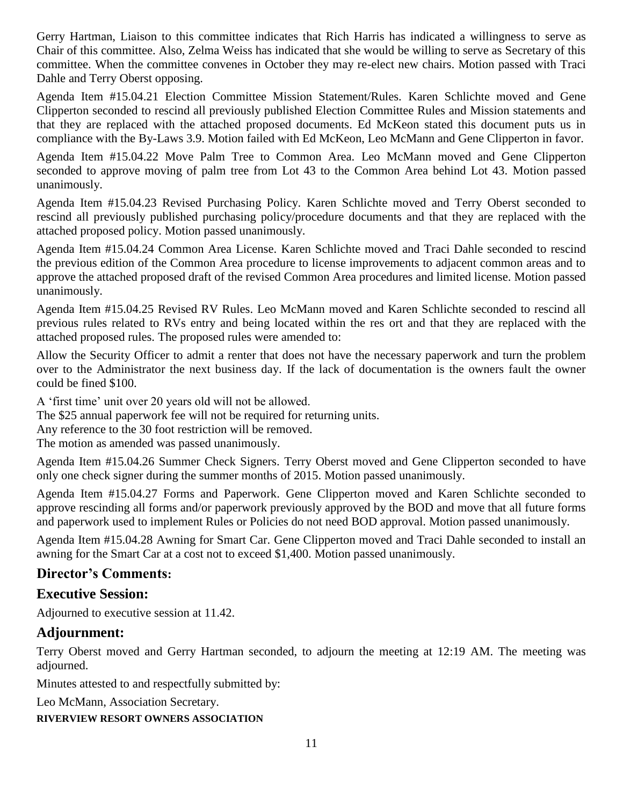Gerry Hartman, Liaison to this committee indicates that Rich Harris has indicated a willingness to serve as Chair of this committee. Also, Zelma Weiss has indicated that she would be willing to serve as Secretary of this committee. When the committee convenes in October they may re-elect new chairs. Motion passed with Traci Dahle and Terry Oberst opposing.

Agenda Item #15.04.21 Election Committee Mission Statement/Rules. Karen Schlichte moved and Gene Clipperton seconded to rescind all previously published Election Committee Rules and Mission statements and that they are replaced with the attached proposed documents. Ed McKeon stated this document puts us in compliance with the By-Laws 3.9. Motion failed with Ed McKeon, Leo McMann and Gene Clipperton in favor.

Agenda Item #15.04.22 Move Palm Tree to Common Area. Leo McMann moved and Gene Clipperton seconded to approve moving of palm tree from Lot 43 to the Common Area behind Lot 43. Motion passed unanimously.

Agenda Item #15.04.23 Revised Purchasing Policy. Karen Schlichte moved and Terry Oberst seconded to rescind all previously published purchasing policy/procedure documents and that they are replaced with the attached proposed policy. Motion passed unanimously.

Agenda Item #15.04.24 Common Area License. Karen Schlichte moved and Traci Dahle seconded to rescind the previous edition of the Common Area procedure to license improvements to adjacent common areas and to approve the attached proposed draft of the revised Common Area procedures and limited license. Motion passed unanimously.

Agenda Item #15.04.25 Revised RV Rules. Leo McMann moved and Karen Schlichte seconded to rescind all previous rules related to RVs entry and being located within the res ort and that they are replaced with the attached proposed rules. The proposed rules were amended to:

Allow the Security Officer to admit a renter that does not have the necessary paperwork and turn the problem over to the Administrator the next business day. If the lack of documentation is the owners fault the owner could be fined \$100.

A 'first time' unit over 20 years old will not be allowed.

The \$25 annual paperwork fee will not be required for returning units.

Any reference to the 30 foot restriction will be removed.

The motion as amended was passed unanimously.

Agenda Item #15.04.26 Summer Check Signers. Terry Oberst moved and Gene Clipperton seconded to have only one check signer during the summer months of 2015. Motion passed unanimously.

Agenda Item #15.04.27 Forms and Paperwork. Gene Clipperton moved and Karen Schlichte seconded to approve rescinding all forms and/or paperwork previously approved by the BOD and move that all future forms and paperwork used to implement Rules or Policies do not need BOD approval. Motion passed unanimously.

Agenda Item #15.04.28 Awning for Smart Car. Gene Clipperton moved and Traci Dahle seconded to install an awning for the Smart Car at a cost not to exceed \$1,400. Motion passed unanimously.

### **Director's Comments:**

# **Executive Session:**

Adjourned to executive session at 11.42.

# **Adjournment:**

Terry Oberst moved and Gerry Hartman seconded, to adjourn the meeting at 12:19 AM. The meeting was adjourned.

Minutes attested to and respectfully submitted by:

Leo McMann, Association Secretary.

**RIVERVIEW RESORT OWNERS ASSOCIATION**